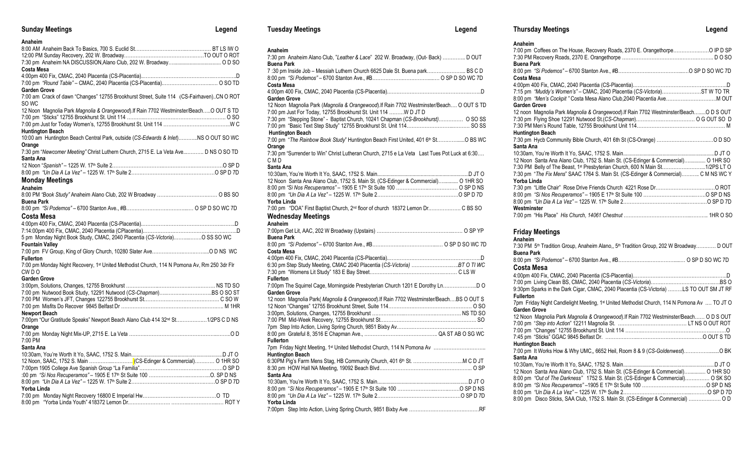| <b>Sunday Meetings</b>                                                                             | Legend |
|----------------------------------------------------------------------------------------------------|--------|
| Anaheim                                                                                            |        |
|                                                                                                    |        |
|                                                                                                    |        |
|                                                                                                    |        |
| Costa Mesa                                                                                         |        |
|                                                                                                    |        |
|                                                                                                    |        |
| Garden Grove                                                                                       |        |
| 7:00 am Crack of dawn "Changes" 12755 Brookhurst Street, Suite 114 (CS-Fairhaven)CN O ROT<br>SO WC |        |
| 12 Noon Magnolia Park Magnolia & Orangewood). If Rain 7702 Westminster/Beach O OUT S TD            |        |
| 7:00 pm "Sticks" 12755 Brookhurst St. Unit 114 ……………………………………………………… O SO                          |        |
|                                                                                                    |        |
| Huntington Beach                                                                                   |        |
| 10:00 am Huntington Beach Central Park, outside (CS-Edwards & Inlet)NS O OUT SO WC                 |        |
| Orange                                                                                             |        |
| 7:30 pm "Newcomer Meeting" Christ Luthern Church, 2715 E. La Veta Ave D NS O SO TD                 |        |
| Santa Ana                                                                                          |        |
|                                                                                                    |        |
|                                                                                                    |        |
| <b>Monday Meetings</b>                                                                             |        |
| Anaheim                                                                                            |        |
|                                                                                                    |        |
| Buena Park                                                                                         |        |
|                                                                                                    |        |
| Costa Mesa                                                                                         |        |
|                                                                                                    |        |
|                                                                                                    |        |
| 5 pm Monday Night Book Study, CMAC, 2040 Placentia (CS-Victoria)O SS SO WC                         |        |
| <b>Fountain Valley</b>                                                                             |        |
|                                                                                                    |        |
| Fullerton                                                                                          |        |
| 7:00 pm Monday Night Recovery, 1st United Methodist Church, 114 N Pomona Av, Rm 250 3dr Flr        |        |
| CW D O<br>Garden Grove                                                                             |        |
|                                                                                                    |        |
|                                                                                                    |        |
|                                                                                                    |        |
|                                                                                                    |        |
| <b>Newport Beach</b>                                                                               |        |
| 7:00pm "Our Gratitude Speaks" Newport Beach Alano Club 414 32 <sup>nd</sup> St1/2PS C D NS         |        |
| Orange                                                                                             |        |
|                                                                                                    |        |
| 7:00 PM                                                                                            |        |
| Santa Ana                                                                                          |        |
|                                                                                                    |        |
|                                                                                                    |        |
|                                                                                                    |        |
|                                                                                                    |        |
|                                                                                                    |        |
| Yorba Linda                                                                                        |        |
|                                                                                                    |        |
|                                                                                                    |        |
|                                                                                                    |        |

| Anaheim                                                                                                                                                    |
|------------------------------------------------------------------------------------------------------------------------------------------------------------|
| 7:30 pm Anaheim Alano Club, "Leather & Lace" 202 W. Broadway, (Out- Back)  D OUT                                                                           |
| Buena Park                                                                                                                                                 |
| 7:30 pm Inside Job – Messiah Luthern Church 6625 Dale St. Buena park BS C D                                                                                |
|                                                                                                                                                            |
| Costa Mesa                                                                                                                                                 |
|                                                                                                                                                            |
| Garden Grove                                                                                                                                               |
| 12 Noon Magnolia Park (Magnolia & Orangewood). If Rain 7702 Westminster/Beach O OUT S TD<br>7:00 pm Just For Today, 12755 Brookhurst St. Unit 114 W D JT D |
| 7:30 pm "Stepping Stone" - Baptist Church, 10241 Chapman (CS-Brookhurst) O SO SS                                                                           |
|                                                                                                                                                            |
| <b>Huntington Beach</b>                                                                                                                                    |
| 7:00 pm "The Rainbow Book Study" Huntington Beach First United, 401 6th St O BS WC                                                                         |
| Orange                                                                                                                                                     |
| 7:30 pm "Surrender to Win" Christ Lutheran Church, 2715 e La Veta Last Tues Pot Luck at 6:30                                                               |
| CMD                                                                                                                                                        |
| Santa Ana                                                                                                                                                  |
|                                                                                                                                                            |
| 12 Noon Santa Ana Alano Club, 1752 S. Main St. (CS-Edinger & Commercial) O 1HR SO                                                                          |
| 8:00 pm "Si Nos Recuperamos" – 1905 E 17 <sup>th</sup> St Suite 100 ………………………………… O SP D NS                                                                |
|                                                                                                                                                            |
| Yorba Linda                                                                                                                                                |
| 7:00 pm "DOA" First Baptist Church, 2 <sup>nd</sup> floor of church 18372 Lemon Dr C BS SO                                                                 |
| Wednesday Meetings                                                                                                                                         |
| Anaheim                                                                                                                                                    |
|                                                                                                                                                            |
| Buena Park                                                                                                                                                 |
| Costa Mesa                                                                                                                                                 |
|                                                                                                                                                            |
|                                                                                                                                                            |
|                                                                                                                                                            |
| Fullerton                                                                                                                                                  |
| 7:00pm The Squirrel Cage, Morningside Presbyterian Church 1201 E Dorothy LnD O                                                                             |
| Garden Grove                                                                                                                                               |
| 12 noon Magnolia Park(Magnolia & Orangewood). If Rain 7702 Westminster/BeachBS O OUT S                                                                     |
|                                                                                                                                                            |
|                                                                                                                                                            |
|                                                                                                                                                            |
|                                                                                                                                                            |
|                                                                                                                                                            |
| Fullerton                                                                                                                                                  |
| 7pm Friday Night Meeting, 1 <sup>st</sup> United Methodist Church, 114 N Pomona Av<br><b>Huntington Beach</b>                                              |
| 6:30PM Pig's Farm Mens Stag, HB Community Church, 401 6 <sup>th</sup> St. M C D JT                                                                         |
|                                                                                                                                                            |
| Santa Ana                                                                                                                                                  |
|                                                                                                                                                            |
|                                                                                                                                                            |
|                                                                                                                                                            |
| Yorba Linda                                                                                                                                                |
|                                                                                                                                                            |

**Tuesday Meetings Legend**

| Anaheim                                                                               |  |
|---------------------------------------------------------------------------------------|--|
| 7:00 pm Coffees on The House, Recovery Roads, 2370 E. Orangethorpe O IP D SP          |  |
|                                                                                       |  |
| <b>Buena Park</b>                                                                     |  |
|                                                                                       |  |
| <b>Costa Mesa</b>                                                                     |  |
|                                                                                       |  |
| 7:15 pm "Muddy's Women's" - CMAC, 2040 Placentia (CS-Victoria)ST W TO TR              |  |
| 8:00 pm "Men's Cockpit" Costa Mesa Alano Club, 2040 Placentia Ave M OUT               |  |
| Garden Grove                                                                          |  |
| 12 noon Magnolia Park Magnolia & Orangewood). If Rain 7702 Westminster/BeachO D S OUT |  |
|                                                                                       |  |
|                                                                                       |  |
| <b>Huntington Beach</b>                                                               |  |
|                                                                                       |  |
| Santa Ana                                                                             |  |
|                                                                                       |  |
| 12 Noon Santa Ana Alano Club, 1752 S. Main St. (CS-Edinger & Commercial) O 1HR SO     |  |
| 7:30 PM Belly of The Beast, 1st Presbyterian Church, 600 N Main St1/2PS LT O          |  |
| 7:30 pm "The Fix Mens" SAAC 1764 S. Main St. (CS-Edinger & Commercial) C M NS WC Y    |  |
| Yorba Linda                                                                           |  |
|                                                                                       |  |
|                                                                                       |  |
|                                                                                       |  |
| Westminster                                                                           |  |
|                                                                                       |  |
|                                                                                       |  |

**Thursday Meetings Legend**

# **Friday Meetings**

| Anaheim                                                                                                        |
|----------------------------------------------------------------------------------------------------------------|
| 7:30 PM 5 <sup>th</sup> Tradition Group, Anaheim Alano., 5 <sup>th</sup> Tradition Group, 202 W Broadway D OUT |
| <b>Buena Park</b>                                                                                              |
|                                                                                                                |
| Costa Mesa                                                                                                     |
|                                                                                                                |
|                                                                                                                |
| 9:30pm Sparks in the Dark Cigar, CMAC, 2040 Placentia (CS-Victoria) LS TO OUT SM JT RF                         |
| <b>Fullerton</b>                                                                                               |
| 7pm Friday Night Candlelight Meeting, 1 <sup>st</sup> United Methodist Church, 114 N Pomona Av  TO JT O        |
| <b>Garden Grove</b>                                                                                            |
| 12 Noon Magnolia Park Magnolia & Orangewood). If Rain 7702 Westminster/Beach O D S OUT                         |
|                                                                                                                |
|                                                                                                                |
|                                                                                                                |
| <b>Huntington Beach</b>                                                                                        |
| 7:00 pm It Works How & Why UMC,, 6652 Heil, Room 8 & 9 (CS-Goldenwest)O BK                                     |
| Santa Ana                                                                                                      |
|                                                                                                                |
| 12 Noon Santa Ana Alano Club, 1752 S. Main St. (CS-Edinger & Commercial) O 1HR SO                              |
| 8:00 pm "Out of The Darkness" 1752 S. Main St. (CS-Edinger & Commercial) O SK SO                               |
|                                                                                                                |
|                                                                                                                |
| 8:00 pm Disco Sticks, SAA Club, 1752 S. Main St. (CS-Edinger & Commercial)  O D                                |
|                                                                                                                |